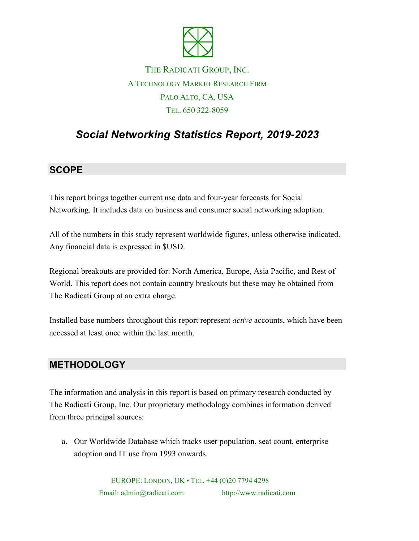

## THE RADICATI GROUP, INC. A TECHNOLOGY MARKET RESEARCH FIRM PALO ALTO, CA, USA TEL. 650 322-8059

# *Social Networking Statistics Report, 2019-2023*

### **SCOPE**

This report brings together current use data and four-year forecasts for Social Networking. It includes data on business and consumer social networking adoption.

All of the numbers in this study represent worldwide figures, unless otherwise indicated. Any financial data is expressed in \$USD.

Regional breakouts are provided for: North America, Europe, Asia Pacific, and Rest of World. This report does not contain country breakouts but these may be obtained from The Radicati Group at an extra charge.

Installed base numbers throughout this report represent *active* accounts, which have been accessed at least once within the last month.

#### **METHODOLOGY**

The information and analysis in this report is based on primary research conducted by The Radicati Group, Inc. Our proprietary methodology combines information derived from three principal sources:

a. Our Worldwide Database which tracks user population, seat count, enterprise adoption and IT use from 1993 onwards.

> EUROPE: LONDON, UK • TEL. +44 (0)20 7794 4298 Email: admin@radicati.com http://www.radicati.com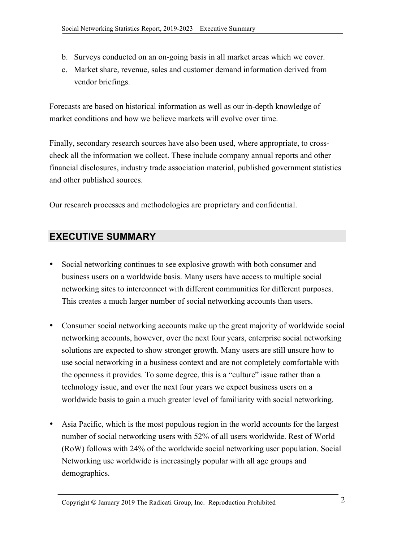- b. Surveys conducted on an on-going basis in all market areas which we cover.
- c. Market share, revenue, sales and customer demand information derived from vendor briefings.

Forecasts are based on historical information as well as our in-depth knowledge of market conditions and how we believe markets will evolve over time.

Finally, secondary research sources have also been used, where appropriate, to crosscheck all the information we collect. These include company annual reports and other financial disclosures, industry trade association material, published government statistics and other published sources.

Our research processes and methodologies are proprietary and confidential.

### **EXECUTIVE SUMMARY**

- Social networking continues to see explosive growth with both consumer and business users on a worldwide basis. Many users have access to multiple social networking sites to interconnect with different communities for different purposes. This creates a much larger number of social networking accounts than users.
- Consumer social networking accounts make up the great majority of worldwide social networking accounts, however, over the next four years, enterprise social networking solutions are expected to show stronger growth. Many users are still unsure how to use social networking in a business context and are not completely comfortable with the openness it provides. To some degree, this is a "culture" issue rather than a technology issue, and over the next four years we expect business users on a worldwide basis to gain a much greater level of familiarity with social networking.
- Asia Pacific, which is the most populous region in the world accounts for the largest number of social networking users with 52% of all users worldwide. Rest of World (RoW) follows with 24% of the worldwide social networking user population. Social Networking use worldwide is increasingly popular with all age groups and demographics.